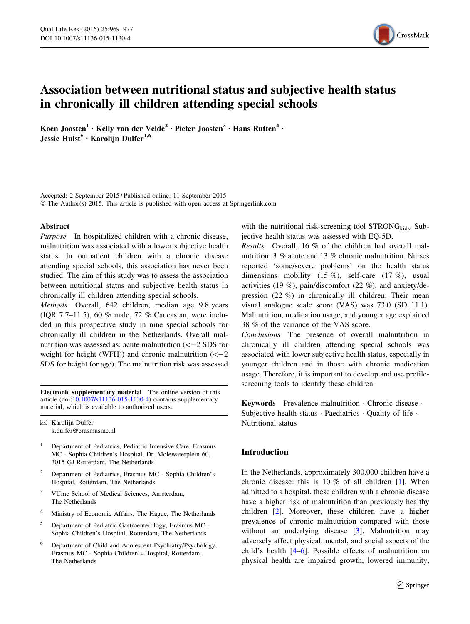

# Association between nutritional status and subjective health status in chronically ill children attending special schools

Koen Joosten<sup>1</sup> • Kelly van der Velde<sup>2</sup> • Pieter Joosten<sup>3</sup> • Hans Rutten<sup>4</sup> • Jessie Hulst<sup>5</sup> · Karoliin Dulfer<sup>1,6</sup>

Accepted: 2 September 2015 / Published online: 11 September 2015 © The Author(s) 2015. This article is published with open access at Springerlink.com

### Abstract

Purpose In hospitalized children with a chronic disease, malnutrition was associated with a lower subjective health status. In outpatient children with a chronic disease attending special schools, this association has never been studied. The aim of this study was to assess the association between nutritional status and subjective health status in chronically ill children attending special schools.

Methods Overall, 642 children, median age 9.8 years (IQR 7.7–11.5), 60 % male, 72 % Caucasian, were included in this prospective study in nine special schools for chronically ill children in the Netherlands. Overall malnutrition was assessed as: acute malnutrition  $(< -2$  SDS for weight for height (WFH)) and chronic malnutrition  $(< -2$ SDS for height for age). The malnutrition risk was assessed

Electronic supplementary material The online version of this article (doi: $10.1007$ /s11136-015-1130-4) contains supplementary material, which is available to authorized users.

 $\boxtimes$  Karolijn Dulfer k.dulfer@erasmusmc.nl

- <sup>1</sup> Department of Pediatrics, Pediatric Intensive Care, Erasmus MC - Sophia Children's Hospital, Dr. Molewaterplein 60, 3015 GJ Rotterdam, The Netherlands
- <sup>2</sup> Department of Pediatrics, Erasmus MC Sophia Children's Hospital, Rotterdam, The Netherlands
- <sup>3</sup> VUmc School of Medical Sciences, Amsterdam, The Netherlands
- <sup>4</sup> Ministry of Economic Affairs, The Hague, The Netherlands
- <sup>5</sup> Department of Pediatric Gastroenterology, Erasmus MC Sophia Children's Hospital, Rotterdam, The Netherlands
- <sup>6</sup> Department of Child and Adolescent Psychiatry/Psychology, Erasmus MC - Sophia Children's Hospital, Rotterdam, The Netherlands

with the nutritional risk-screening tool  $STRONG_{\text{kids}}$ . Subjective health status was assessed with EQ-5D.

Results Overall, 16 % of the children had overall malnutrition: 3 % acute and 13 % chronic malnutrition. Nurses reported 'some/severe problems' on the health status dimensions mobility  $(15 \%)$ , self-care  $(17 \%)$ , usual activities (19 %), pain/discomfort (22 %), and anxiety/depression (22 %) in chronically ill children. Their mean visual analogue scale score (VAS) was 73.0 (SD 11.1). Malnutrition, medication usage, and younger age explained 38 % of the variance of the VAS score.

Conclusions The presence of overall malnutrition in chronically ill children attending special schools was associated with lower subjective health status, especially in younger children and in those with chronic medication usage. Therefore, it is important to develop and use profilescreening tools to identify these children.

Keywords Prevalence malnutrition - Chronic disease - Subjective health status · Paediatrics · Quality of life · Nutritional status

# Introduction

In the Netherlands, approximately 300,000 children have a chronic disease: this is 10 % of all children [[1\]](#page-8-0). When admitted to a hospital, these children with a chronic disease have a higher risk of malnutrition than previously healthy children [[2\]](#page-8-0). Moreover, these children have a higher prevalence of chronic malnutrition compared with those without an underlying disease [[3\]](#page-8-0). Malnutrition may adversely affect physical, mental, and social aspects of the child's health [\[4–6](#page-8-0)]. Possible effects of malnutrition on physical health are impaired growth, lowered immunity,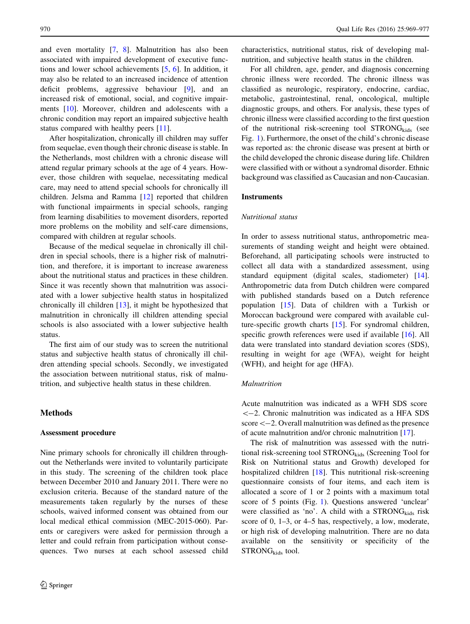and even mortality [\[7](#page-8-0), [8\]](#page-8-0). Malnutrition has also been associated with impaired development of executive functions and lower school achievements [\[5](#page-8-0), [6](#page-8-0)]. In addition, it may also be related to an increased incidence of attention deficit problems, aggressive behaviour [[9\]](#page-8-0), and an increased risk of emotional, social, and cognitive impairments [[10\]](#page-8-0). Moreover, children and adolescents with a chronic condition may report an impaired subjective health status compared with healthy peers [[11\]](#page-8-0).

After hospitalization, chronically ill children may suffer from sequelae, even though their chronic disease is stable. In the Netherlands, most children with a chronic disease will attend regular primary schools at the age of 4 years. However, those children with sequelae, necessitating medical care, may need to attend special schools for chronically ill children. Jelsma and Ramma [[12\]](#page-8-0) reported that children with functional impairments in special schools, ranging from learning disabilities to movement disorders, reported more problems on the mobility and self-care dimensions, compared with children at regular schools.

Because of the medical sequelae in chronically ill children in special schools, there is a higher risk of malnutrition, and therefore, it is important to increase awareness about the nutritional status and practices in these children. Since it was recently shown that malnutrition was associated with a lower subjective health status in hospitalized chronically ill children [[13\]](#page-8-0), it might be hypothesized that malnutrition in chronically ill children attending special schools is also associated with a lower subjective health status.

The first aim of our study was to screen the nutritional status and subjective health status of chronically ill children attending special schools. Secondly, we investigated the association between nutritional status, risk of malnutrition, and subjective health status in these children.

# Methods

#### Assessment procedure

Nine primary schools for chronically ill children throughout the Netherlands were invited to voluntarily participate in this study. The screening of the children took place between December 2010 and January 2011. There were no exclusion criteria. Because of the standard nature of the measurements taken regularly by the nurses of these schools, waived informed consent was obtained from our local medical ethical commission (MEC-2015-060). Parents or caregivers were asked for permission through a letter and could refrain from participation without consequences. Two nurses at each school assessed child

characteristics, nutritional status, risk of developing malnutrition, and subjective health status in the children.

For all children, age, gender, and diagnosis concerning chronic illness were recorded. The chronic illness was classified as neurologic, respiratory, endocrine, cardiac, metabolic, gastrointestinal, renal, oncological, multiple diagnostic groups, and others. For analysis, these types of chronic illness were classified according to the first question of the nutritional risk-screening tool  $STRONG_{\text{kids}}$  (see Fig. [1](#page-2-0)). Furthermore, the onset of the child's chronic disease was reported as: the chronic disease was present at birth or the child developed the chronic disease during life. Children were classified with or without a syndromal disorder. Ethnic background was classified as Caucasian and non-Caucasian.

#### **Instruments**

### Nutritional status

In order to assess nutritional status, anthropometric measurements of standing weight and height were obtained. Beforehand, all participating schools were instructed to collect all data with a standardized assessment, using standard equipment (digital scales, stadiometer) [\[14](#page-8-0)]. Anthropometric data from Dutch children were compared with published standards based on a Dutch reference population [\[15](#page-8-0)]. Data of children with a Turkish or Moroccan background were compared with available culture-specific growth charts [\[15](#page-8-0)]. For syndromal children, specific growth references were used if available [\[16](#page-8-0)]. All data were translated into standard deviation scores (SDS), resulting in weight for age (WFA), weight for height (WFH), and height for age (HFA).

# Malnutrition

Acute malnutrition was indicated as a WFH SDS score  $<-2$ . Chronic malnutrition was indicated as a HFA SDS  $\text{score} \leq -2$ . Overall malnutrition was defined as the presence of acute malnutrition and/or chronic malnutrition [[17\]](#page-8-0).

The risk of malnutrition was assessed with the nutritional risk-screening tool STRONG<sub>kids</sub> (Screening Tool for Risk on Nutritional status and Growth) developed for hospitalized children [\[18](#page-8-0)]. This nutritional risk-screening questionnaire consists of four items, and each item is allocated a score of 1 or 2 points with a maximum total score of 5 points (Fig. [1\)](#page-2-0). Questions answered 'unclear' were classified as 'no'. A child with a STRONG<sub>kids</sub> risk score of 0, 1–3, or 4–5 has, respectively, a low, moderate, or high risk of developing malnutrition. There are no data available on the sensitivity or specificity of the  $STRONG<sub>kids</sub>$  tool.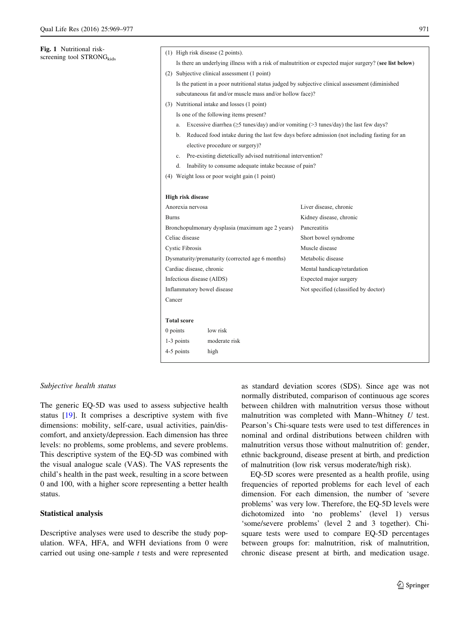<span id="page-2-0"></span>Fig. 1 Nutritional riskscreening tool  $STRONG<sub>kids</sub>$ 

|                          |    | (1) High risk disease (2 points).                                                                |                                                                                                        |  |  |  |  |
|--------------------------|----|--------------------------------------------------------------------------------------------------|--------------------------------------------------------------------------------------------------------|--|--|--|--|
|                          |    |                                                                                                  | Is there an underlying illness with a risk of malnutrition or expected major surgery? (see list below) |  |  |  |  |
|                          |    | (2) Subjective clinical assessment (1 point)                                                     |                                                                                                        |  |  |  |  |
|                          |    | Is the patient in a poor nutritional status judged by subjective clinical assessment (diminished |                                                                                                        |  |  |  |  |
|                          |    | subcutaneous fat and/or muscle mass and/or hollow face)?                                         |                                                                                                        |  |  |  |  |
|                          |    | (3) Nutritional intake and losses (1 point)                                                      |                                                                                                        |  |  |  |  |
|                          |    | Is one of the following items present?                                                           |                                                                                                        |  |  |  |  |
|                          | a. | Excessive diarrhea ( $\geq$ 5 tunes/day) and/or vomiting ( $>$ 3 tunes/day) the last few days?   |                                                                                                        |  |  |  |  |
|                          | b. |                                                                                                  | Reduced food intake during the last few days before admission (not including fasting for an            |  |  |  |  |
|                          |    | elective procedure or surgery)?                                                                  |                                                                                                        |  |  |  |  |
|                          | c. | Pre-existing dietetically advised nutritional intervention?                                      |                                                                                                        |  |  |  |  |
|                          | d. | Inability to consume adequate intake because of pain?                                            |                                                                                                        |  |  |  |  |
|                          |    | (4) Weight loss or poor weight gain (1 point)                                                    |                                                                                                        |  |  |  |  |
|                          |    |                                                                                                  |                                                                                                        |  |  |  |  |
|                          |    |                                                                                                  |                                                                                                        |  |  |  |  |
|                          |    | High risk disease                                                                                |                                                                                                        |  |  |  |  |
|                          |    | Anorexia nervosa                                                                                 | Liver disease, chronic                                                                                 |  |  |  |  |
|                          |    |                                                                                                  | Kidney disease, chronic                                                                                |  |  |  |  |
|                          |    | Bronchopulmonary dysplasia (maximum age 2 years)                                                 | Pancreatitis                                                                                           |  |  |  |  |
|                          |    | Celiac disease                                                                                   | Short bowel syndrome                                                                                   |  |  |  |  |
|                          |    | <b>Cystic Fibrosis</b>                                                                           | Muscle disease                                                                                         |  |  |  |  |
|                          |    | Dysmaturity/prematurity (corrected age 6 months)                                                 | Metabolic disease                                                                                      |  |  |  |  |
|                          |    | Cardiac disease, chronic                                                                         | Mental handicap/retardation                                                                            |  |  |  |  |
| <b>Burns</b>             |    | Infectious disease (AIDS)                                                                        | Expected major surgery                                                                                 |  |  |  |  |
|                          |    | Inflammatory bowel disease                                                                       | Not specified (classified by doctor)                                                                   |  |  |  |  |
| Cancer                   |    |                                                                                                  |                                                                                                        |  |  |  |  |
|                          |    |                                                                                                  |                                                                                                        |  |  |  |  |
|                          |    |                                                                                                  |                                                                                                        |  |  |  |  |
| <b>Total score</b>       |    | low risk                                                                                         |                                                                                                        |  |  |  |  |
| $0$ points<br>1-3 points |    | moderate risk                                                                                    |                                                                                                        |  |  |  |  |

#### Subjective health status

The generic EQ-5D was used to assess subjective health status [\[19](#page-8-0)]. It comprises a descriptive system with five dimensions: mobility, self-care, usual activities, pain/discomfort, and anxiety/depression. Each dimension has three levels: no problems, some problems, and severe problems. This descriptive system of the EQ-5D was combined with the visual analogue scale (VAS). The VAS represents the child's health in the past week, resulting in a score between 0 and 100, with a higher score representing a better health status.

# Statistical analysis

Descriptive analyses were used to describe the study population. WFA, HFA, and WFH deviations from 0 were carried out using one-sample t tests and were represented as standard deviation scores (SDS). Since age was not normally distributed, comparison of continuous age scores between children with malnutrition versus those without malnutrition was completed with Mann–Whitney U test. Pearson's Chi-square tests were used to test differences in nominal and ordinal distributions between children with malnutrition versus those without malnutrition of: gender, ethnic background, disease present at birth, and prediction of malnutrition (low risk versus moderate/high risk).

EQ-5D scores were presented as a health profile, using frequencies of reported problems for each level of each dimension. For each dimension, the number of 'severe problems' was very low. Therefore, the EQ-5D levels were dichotomized into 'no problems' (level 1) versus 'some/severe problems' (level 2 and 3 together). Chisquare tests were used to compare EQ-5D percentages between groups for: malnutrition, risk of malnutrition, chronic disease present at birth, and medication usage.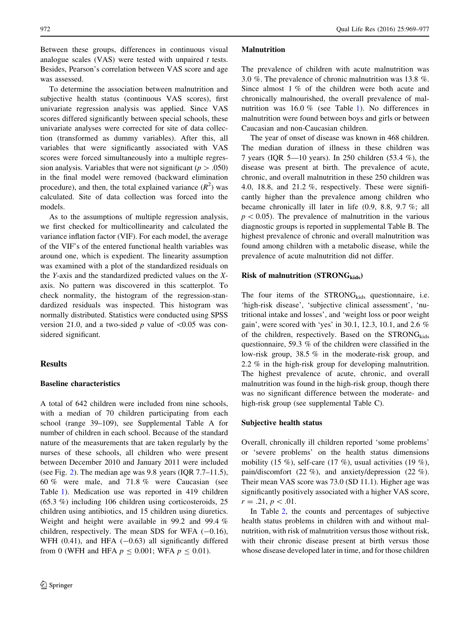Between these groups, differences in continuous visual analogue scales (VAS) were tested with unpaired  $t$  tests. Besides, Pearson's correlation between VAS score and age was assessed.

To determine the association between malnutrition and subjective health status (continuous VAS scores), first univariate regression analysis was applied. Since VAS scores differed significantly between special schools, these univariate analyses were corrected for site of data collection (transformed as dummy variables). After this, all variables that were significantly associated with VAS scores were forced simultaneously into a multiple regression analysis. Variables that were not significant ( $p > .050$ ) in the final model were removed (backward elimination procedure), and then, the total explained variance  $(R^2)$  was calculated. Site of data collection was forced into the models.

As to the assumptions of multiple regression analysis, we first checked for multicollinearity and calculated the variance inflation factor (VIF). For each model, the average of the VIF's of the entered functional health variables was around one, which is expedient. The linearity assumption was examined with a plot of the standardized residuals on the Y-axis and the standardized predicted values on the Xaxis. No pattern was discovered in this scatterplot. To check normality, the histogram of the regression-standardized residuals was inspected. This histogram was normally distributed. Statistics were conducted using SPSS version 21.0, and a two-sided  $p$  value of  $\leq 0.05$  was considered significant.

#### Results

#### Baseline characteristics

A total of 642 children were included from nine schools, with a median of 70 children participating from each school (range 39–109), see Supplemental Table A for number of children in each school. Because of the standard nature of the measurements that are taken regularly by the nurses of these schools, all children who were present between December 2010 and January 2011 were included (see Fig. [2\)](#page-4-0). The median age was 9.8 years (IQR 7.7–11.5), 60 % were male, and 71.8 % were Caucasian (see Table [1](#page-5-0)). Medication use was reported in 419 children (65.3 %) including 106 children using corticosteroids, 25 children using antibiotics, and 15 children using diuretics. Weight and height were available in 99.2 and 99.4 % children, respectively. The mean SDS for WFA  $(-0.16)$ , WFH  $(0.41)$ , and HFA  $(-0.63)$  all significantly differed from 0 (WFH and HFA  $p \le 0.001$ ; WFA  $p \le 0.01$ ).

#### Malnutrition

The prevalence of children with acute malnutrition was 3.0 %. The prevalence of chronic malnutrition was 13.8 %. Since almost 1 % of the children were both acute and chronically malnourished, the overall prevalence of malnutrition was 16.0 % (see Table [1](#page-5-0)). No differences in malnutrition were found between boys and girls or between Caucasian and non-Caucasian children.

The year of onset of disease was known in 468 children. The median duration of illness in these children was 7 years (IQR 5—10 years). In 250 children (53.4 %), the disease was present at birth. The prevalence of acute, chronic, and overall malnutrition in these 250 children was 4.0, 18.8, and 21.2 %, respectively. These were significantly higher than the prevalence among children who became chronically ill later in life (0.9, 8.8, 9.7 %; all  $p<0.05$ ). The prevalence of malnutrition in the various diagnostic groups is reported in supplemental Table B. The highest prevalence of chronic and overall malnutrition was found among children with a metabolic disease, while the prevalence of acute malnutrition did not differ.

# Risk of malnutrition  $(TRONG_{\text{kids}})$

The four items of the  $STRONG_{\text{kids}}$  questionnaire, i.e. 'high-risk disease', 'subjective clinical assessment', 'nutritional intake and losses', and 'weight loss or poor weight gain', were scored with 'yes' in 30.1, 12.3, 10.1, and 2.6 % of the children, respectively. Based on the  $STRONG<sub>kids</sub>$ questionnaire, 59.3 % of the children were classified in the low-risk group, 38.5 % in the moderate-risk group, and 2.2 % in the high-risk group for developing malnutrition. The highest prevalence of acute, chronic, and overall malnutrition was found in the high-risk group, though there was no significant difference between the moderate- and high-risk group (see supplemental Table C).

#### Subjective health status

Overall, chronically ill children reported 'some problems' or 'severe problems' on the health status dimensions mobility (15 %), self-care (17 %), usual activities (19 %), pain/discomfort (22 %), and anxiety/depression (22 %). Their mean VAS score was 73.0 (SD 11.1). Higher age was significantly positively associated with a higher VAS score,  $r = .21, p < .01.$ 

In Table [2](#page-6-0), the counts and percentages of subjective health status problems in children with and without malnutrition, with risk of malnutrition versus those without risk, with their chronic disease present at birth versus those whose disease developed later in time, and for those children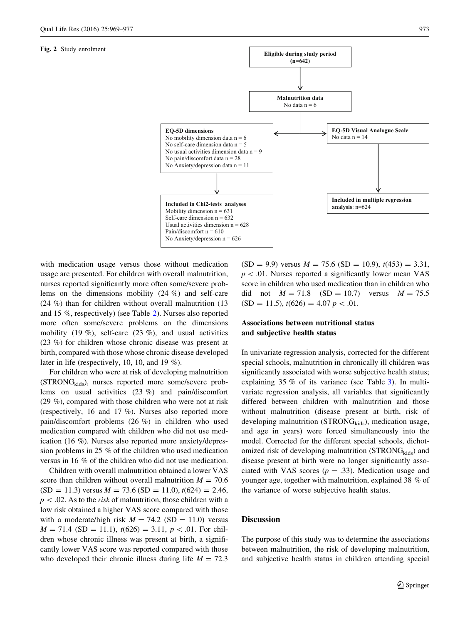#### <span id="page-4-0"></span>Fig. 2 Study enrolment



with medication usage versus those without medication usage are presented. For children with overall malnutrition, nurses reported significantly more often some/severe problems on the dimensions mobility (24 %) and self-care (24 %) than for children without overall malnutrition (13 and 15 %, respectively) (see Table [2\)](#page-6-0). Nurses also reported more often some/severe problems on the dimensions mobility (19 %), self-care (23 %), and usual activities (23 %) for children whose chronic disease was present at birth, compared with those whose chronic disease developed later in life (respectively, 10, 10, and 19 %).

For children who were at risk of developing malnutrition  $(STRONG<sub>kids</sub>)$ , nurses reported more some/severe problems on usual activities (23 %) and pain/discomfort (29 %), compared with those children who were not at risk (respectively, 16 and 17 %). Nurses also reported more pain/discomfort problems (26 %) in children who used medication compared with children who did not use medication (16 %). Nurses also reported more anxiety/depression problems in 25 % of the children who used medication versus in 16 % of the children who did not use medication.

Children with overall malnutrition obtained a lower VAS score than children without overall malnutrition  $M = 70.6$  $(SD = 11.3)$  versus  $M = 73.6$   $(SD = 11.0)$ ,  $t(624) = 2.46$ ,  $p\lt 0.02$ . As to the *risk* of malnutrition, those children with a low risk obtained a higher VAS score compared with those with a moderate/high risk  $M = 74.2$  (SD = 11.0) versus  $M = 71.4$  (SD = 11.1),  $t(626) = 3.11$ ,  $p < .01$ . For children whose chronic illness was present at birth, a significantly lower VAS score was reported compared with those who developed their chronic illness during life  $M = 72.3$ 

 $(SD = 9.9)$  versus  $M = 75.6$   $(SD = 10.9)$ ,  $t(453) = 3.31$ ,  $p\lt 0.01$ . Nurses reported a significantly lower mean VAS score in children who used medication than in children who did not  $M = 71.8$  (SD = 10.7) versus  $M = 75.5$  $(SD = 11.5), t(626) = 4.07 \, p < .01.$ 

# Associations between nutritional status and subjective health status

In univariate regression analysis, corrected for the different special schools, malnutrition in chronically ill children was significantly associated with worse subjective health status; explaining 35 % of its variance (see Table [3](#page-7-0)). In multivariate regression analysis, all variables that significantly differed between children with malnutrition and those without malnutrition (disease present at birth, risk of developing malnutrition ( $STRONG_{\text{kids}}$ ), medication usage, and age in years) were forced simultaneously into the model. Corrected for the different special schools, dichotomized risk of developing malnutrition ( $STRONG<sub>kids</sub>$ ) and disease present at birth were no longer significantly associated with VAS scores ( $p = .33$ ). Medication usage and younger age, together with malnutrition, explained 38 % of the variance of worse subjective health status.

#### **Discussion**

The purpose of this study was to determine the associations between malnutrition, the risk of developing malnutrition, and subjective health status in children attending special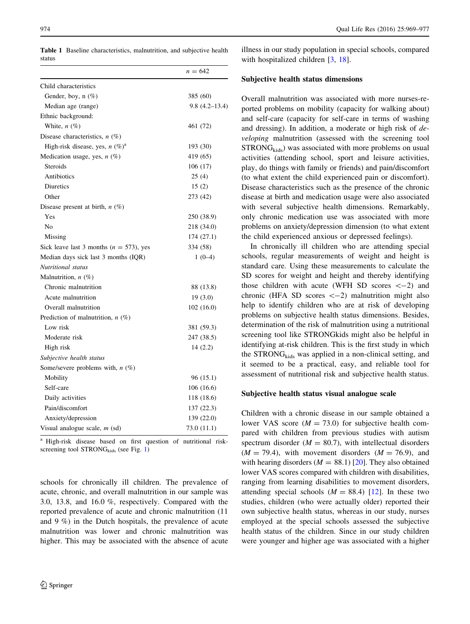<span id="page-5-0"></span>Table 1 Baseline characteristics, malnutrition, and subjective health status

|                                             | $n = 642$         |
|---------------------------------------------|-------------------|
| Child characteristics                       |                   |
| Gender, boy, n (%)                          | 385 (60)          |
| Median age (range)                          | $9.8(4.2 - 13.4)$ |
| Ethnic background:                          |                   |
| White, $n$ (%)                              | 461 (72)          |
| Disease characteristics, $n$ (%)            |                   |
| High-risk disease, yes, $n (\%)^a$          | 193 (30)          |
| Medication usage, yes, $n$ (%)              | 419 (65)          |
| Steroids                                    | 106(17)           |
| Antibiotics                                 | 25(4)             |
| Diuretics                                   | 15(2)             |
| Other                                       | 273 (42)          |
| Disease present at birth, $n$ (%)           |                   |
| Yes                                         | 250 (38.9)        |
| N <sub>0</sub>                              | 218 (34.0)        |
| Missing                                     | 174 (27.1)        |
| Sick leave last 3 months ( $n = 573$ ), yes | 334 (58)          |
| Median days sick last 3 months (IQR)        | $1(0-4)$          |
| Nutritional status                          |                   |
| Malnutrition, $n$ (%)                       |                   |
| Chronic malnutrition                        | 88 (13.8)         |
| Acute malnutrition                          | 19(3.0)           |
| Overall malnutrition                        | 102 (16.0)        |
| Prediction of malnutrition, $n$ (%)         |                   |
| Low risk                                    | 381 (59.3)        |
| Moderate risk                               | 247 (38.5)        |
| High risk                                   | 14(2.2)           |
| Subjective health status                    |                   |
| Some/severe problems with, $n$ (%)          |                   |
| Mobility                                    | 96 (15.1)         |
| Self-care                                   | 106 (16.6)        |
| Daily activities                            | 118 (18.6)        |
| Pain/discomfort                             | 137 (22.3)        |
| Anxiety/depression                          | 139 (22.0)        |
| Visual analogue scale, $m$ (sd)             | 73.0 (11.1)       |
|                                             |                   |

<sup>a</sup> High-risk disease based on first question of nutritional riskscreening tool  $STRONG_{\text{kids}}$  (see Fig. [1\)](#page-2-0)

schools for chronically ill children. The prevalence of acute, chronic, and overall malnutrition in our sample was 3.0, 13.8, and 16.0 %, respectively. Compared with the reported prevalence of acute and chronic malnutrition (11 and 9 %) in the Dutch hospitals, the prevalence of acute malnutrition was lower and chronic malnutrition was higher. This may be associated with the absence of acute

illness in our study population in special schools, compared with hospitalized children [[3](#page-8-0), [18](#page-8-0)].

# Subjective health status dimensions

Overall malnutrition was associated with more nurses-reported problems on mobility (capacity for walking about) and self-care (capacity for self-care in terms of washing and dressing). In addition, a moderate or high risk of developing malnutrition (assessed with the screening tool  $STRONG<sub>kids</sub>$  was associated with more problems on usual activities (attending school, sport and leisure activities, play, do things with family or friends) and pain/discomfort (to what extent the child experienced pain or discomfort). Disease characteristics such as the presence of the chronic disease at birth and medication usage were also associated with several subjective health dimensions. Remarkably, only chronic medication use was associated with more problems on anxiety/depression dimension (to what extent the child experienced anxious or depressed feelings).

In chronically ill children who are attending special schools, regular measurements of weight and height is standard care. Using these measurements to calculate the SD scores for weight and height and thereby identifying those children with acute (WFH SD scores  $\langle -2 \rangle$  and chronic (HFA SD scores  $\langle -2 \rangle$  malnutrition might also help to identify children who are at risk of developing problems on subjective health status dimensions. Besides, determination of the risk of malnutrition using a nutritional screening tool like STRONGkids might also be helpful in identifying at-risk children. This is the first study in which the  $STRONG<sub>kids</sub>$  was applied in a non-clinical setting, and it seemed to be a practical, easy, and reliable tool for assessment of nutritional risk and subjective health status.

# Subjective health status visual analogue scale

Children with a chronic disease in our sample obtained a lower VAS score ( $M = 73.0$ ) for subjective health compared with children from previous studies with autism spectrum disorder  $(M = 80.7)$ , with intellectual disorders  $(M = 79.4)$ , with movement disorders  $(M = 76.9)$ , and with hearing disorders ( $M = 88.1$ ) [\[20](#page-8-0)]. They also obtained lower VAS scores compared with children with disabilities, ranging from learning disabilities to movement disorders, attending special schools  $(M = 88.4)$  [\[12](#page-8-0)]. In these two studies, children (who were actually older) reported their own subjective health status, whereas in our study, nurses employed at the special schools assessed the subjective health status of the children. Since in our study children were younger and higher age was associated with a higher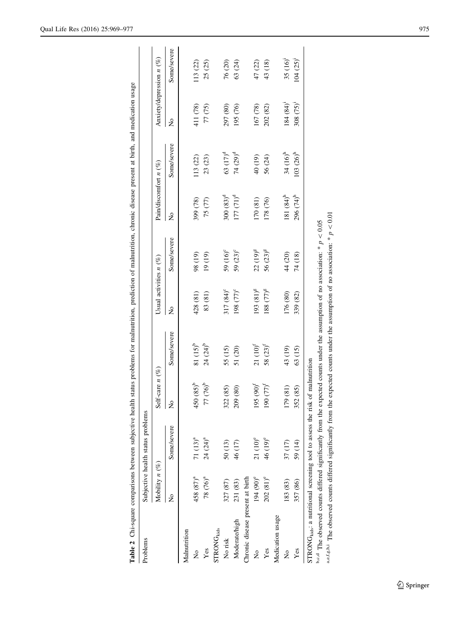| Problems                                                                                                                                                                                                              |                       | Subjective health status problems |                        |             |                          |                      |                       |                      |                        |                            |
|-----------------------------------------------------------------------------------------------------------------------------------------------------------------------------------------------------------------------|-----------------------|-----------------------------------|------------------------|-------------|--------------------------|----------------------|-----------------------|----------------------|------------------------|----------------------------|
|                                                                                                                                                                                                                       | Mobility $n(\%)$      |                                   | Self-care $n$ (%)      |             | Usual activities $n$ (%) |                      | Pain/discomfort n (%) |                      |                        | Anxiety/depression $n$ (%) |
|                                                                                                                                                                                                                       | $\frac{1}{2}$         | Some/severe                       | ž                      | Some/severe | $\tilde{z}$              | Some/severe          | $\tilde{z}$           | Some/severe          | $\tilde{z}$            | Some/severe                |
| Malnutrition                                                                                                                                                                                                          |                       |                                   |                        |             |                          |                      |                       |                      |                        |                            |
| ž                                                                                                                                                                                                                     | 458 (87) <sup>a</sup> | 71 $(13)^a$                       | $450(85)$ <sup>b</sup> | $81 (15)^b$ | 428 (81)                 | 98 (19)              | 399 (78)              | 113 (22)             | 411 (78)               | 113 (22)                   |
| Yes                                                                                                                                                                                                                   | 78 (76) <sup>a</sup>  | $24 (24)^a$                       | $77(76)$ <sup>b</sup>  | $24 (24)^b$ | 83 (81)                  | 19(19)               | 75 (77)               | 23(23)               | 77 (75)                | 25(25)                     |
| STRONG <sub>kids</sub>                                                                                                                                                                                                |                       |                                   |                        |             |                          |                      |                       |                      |                        |                            |
| No risk                                                                                                                                                                                                               | 327 (87)              | 50 (13)                           | 322 (85)               | 55 (15)     | 317 (84) <sup>c</sup>    | 59 $(16)^{\circ}$    | $300(83)^d$           | 63 (17) <sup>d</sup> | 297 (80)               | 76(20)                     |
| Moderate/high                                                                                                                                                                                                         | 231 (83)              | 46 (17)                           | 209 (80)               | 51 (20)     | 198 (77) <sup>c</sup>    | 59 (23) <sup>c</sup> | $177 (71)^d$          | 74 (29) <sup>d</sup> | 195 (76)               | 63 (24)                    |
| Chronic disease present at birth                                                                                                                                                                                      |                       |                                   |                        |             |                          |                      |                       |                      |                        |                            |
| ż                                                                                                                                                                                                                     | 194 (90) <sup>e</sup> | $21 (10)^e$                       | $195 (90)^{f}$         | $21 (10)^f$ | 193 (81) <sup>g</sup>    | $22(19)^{g}$         | 170 (81)              | 40 (19)              | 167 (78)               | 47 (22)                    |
| Yes                                                                                                                                                                                                                   | 202(81)°              | 46 (19) <sup>e</sup>              | $190 (77)^5$           | 58 $(23)^f$ | $(58 (77)^8)$            | 56 (23) <sup>g</sup> | 178 (76)              | 56 (24)              | 202 (82)               | 43 (18)                    |
| Medication usage                                                                                                                                                                                                      |                       |                                   |                        |             |                          |                      |                       |                      |                        |                            |
| ż                                                                                                                                                                                                                     | 183 (83)              | 37 (17)                           | 179 (81)               | 43 (19)     | 176 (80)                 | 44 (20)              | 181 $(84)^h$          | 34 (16) <sup>h</sup> | $184(84)$ <sup>1</sup> | $35 (16)^1$                |
| Yes                                                                                                                                                                                                                   | 357 (86)              | 59 (14)                           | 352 (85)               | 63 (15)     | 339 (82)                 | 74 (18)              | 296 (74) <sup>h</sup> | $103 (26)^h$         | $308 (75)^{1}$         | $104 (25)^{i}$             |
| <sup>b.c.d</sup> The observed counts differed significantly from the expected counts under the assumption of no association: * $p < 0.05$<br>STRONG <sub>kids</sub> : a nutritional screening tool to assess the risk |                       |                                   | of malnutrition        |             |                          |                      |                       |                      |                        |                            |

Table 2 Chi-square comparisons between subjective health status problems for malnutrition, prediction of malnutrition, chronic disease present at birth, and medication usage

Table 2 Chi-square comparisons between subjective health status problems for malnutrition, prediction of malnutrition, chronic disease present at birth, and medication usage

as f.s.h.i The observed counts differed significantly from the expected counts under the assumption of no association: \*  $p < 0.01$ a,e,f,g,h,i The observed counts differed significantly from the expected counts under the assumption of no association:  $* p < 0.01$ <sup>b,c,d</sup> The observed counts differed significantly from the expected counts under the assumption of no association: \*  $p \lt 0.05$ i, ś.  $\dot{\mathfrak{a}}$ 

<span id="page-6-0"></span>Qual Life Res (2016) 25:969–977 975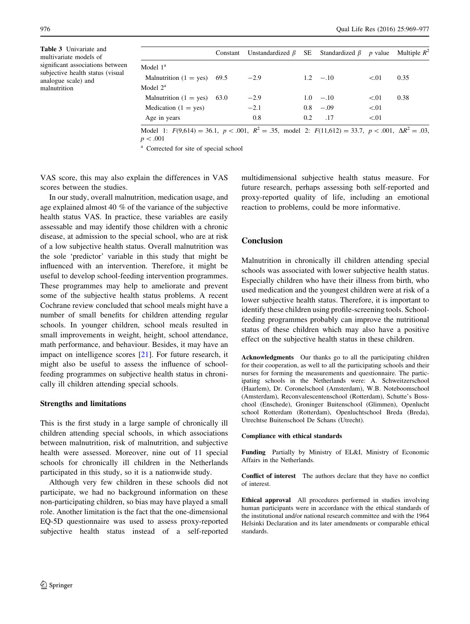<span id="page-7-0"></span>Table 3 Univariate and multivariate models of significant associations between subjective health status (visual analogue scale) and malnutrition

|                               | Constant | Unstandardized $\beta$ |     | SE Standardized $\beta$ | $p$ value | Multiple $R^2$ |
|-------------------------------|----------|------------------------|-----|-------------------------|-----------|----------------|
| Model $1a$                    |          |                        |     |                         |           |                |
| Malnutrition $(1 = yes)$ 69.5 |          | $-2.9$                 |     | $1.2 - 10$              | < 01      | 0.35           |
| Model $2^a$                   |          |                        |     |                         |           |                |
| Malnutrition $(1 = yes)$      | 63.0     | $-2.9$                 |     | $1.0 - 10$              | < 01      | 0.38           |
| Medication $(1 = yes)$        |          | $-2.1$                 | 0.8 | $-.09$                  | < 01      |                |
| Age in years                  |          | 0.8                    | 0.2 | .17                     | < 01      |                |

Model 1:  $F(9,614) = 36.1$ ,  $p < .001$ ,  $R^2 = .35$ , model 2:  $F(11,612) = 33.7$ ,  $p < .001$ ,  $\Delta R^2 = .03$ ,  $p < .001$ 

<sup>a</sup> Corrected for site of special school

VAS score, this may also explain the differences in VAS scores between the studies.

In our study, overall malnutrition, medication usage, and age explained almost 40 % of the variance of the subjective health status VAS. In practice, these variables are easily assessable and may identify those children with a chronic disease, at admission to the special school, who are at risk of a low subjective health status. Overall malnutrition was the sole 'predictor' variable in this study that might be influenced with an intervention. Therefore, it might be useful to develop school-feeding intervention programmes. These programmes may help to ameliorate and prevent some of the subjective health status problems. A recent Cochrane review concluded that school meals might have a number of small benefits for children attending regular schools. In younger children, school meals resulted in small improvements in weight, height, school attendance, math performance, and behaviour. Besides, it may have an impact on intelligence scores [[21\]](#page-8-0). For future research, it might also be useful to assess the influence of schoolfeeding programmes on subjective health status in chronically ill children attending special schools.

# Strengths and limitations

This is the first study in a large sample of chronically ill children attending special schools, in which associations between malnutrition, risk of malnutrition, and subjective health were assessed. Moreover, nine out of 11 special schools for chronically ill children in the Netherlands participated in this study, so it is a nationwide study.

Although very few children in these schools did not participate, we had no background information on these non-participating children, so bias may have played a small role. Another limitation is the fact that the one-dimensional EQ-5D questionnaire was used to assess proxy-reported subjective health status instead of a self-reported multidimensional subjective health status measure. For future research, perhaps assessing both self-reported and proxy-reported quality of life, including an emotional reaction to problems, could be more informative.

# **Conclusion**

Malnutrition in chronically ill children attending special schools was associated with lower subjective health status. Especially children who have their illness from birth, who used medication and the youngest children were at risk of a lower subjective health status. Therefore, it is important to identify these children using profile-screening tools. Schoolfeeding programmes probably can improve the nutritional status of these children which may also have a positive effect on the subjective health status in these children.

Acknowledgments Our thanks go to all the participating children for their cooperation, as well to all the participating schools and their nurses for forming the measurements and questionnaire. The participating schools in the Netherlands were: A. Schweitzerschool (Haarlem), Dr. Coronelschool (Amsterdam), W.B. Noteboomschool (Amsterdam), Reconvalescentenschool (Rotterdam), Schutte's Bosschool (Enschede), Groninger Buitenschool (Glimmen), Openlucht school Rotterdam (Rotterdam), Openluchtschool Breda (Breda), Utrechtse Buitenschool De Schans (Utrecht).

#### Compliance with ethical standards

Funding Partially by Ministry of EL&I, Ministry of Economic Affairs in the Netherlands.

Conflict of interest The authors declare that they have no conflict of interest.

Ethical approval All procedures performed in studies involving human participants were in accordance with the ethical standards of the institutional and/or national research committee and with the 1964 Helsinki Declaration and its later amendments or comparable ethical standards.